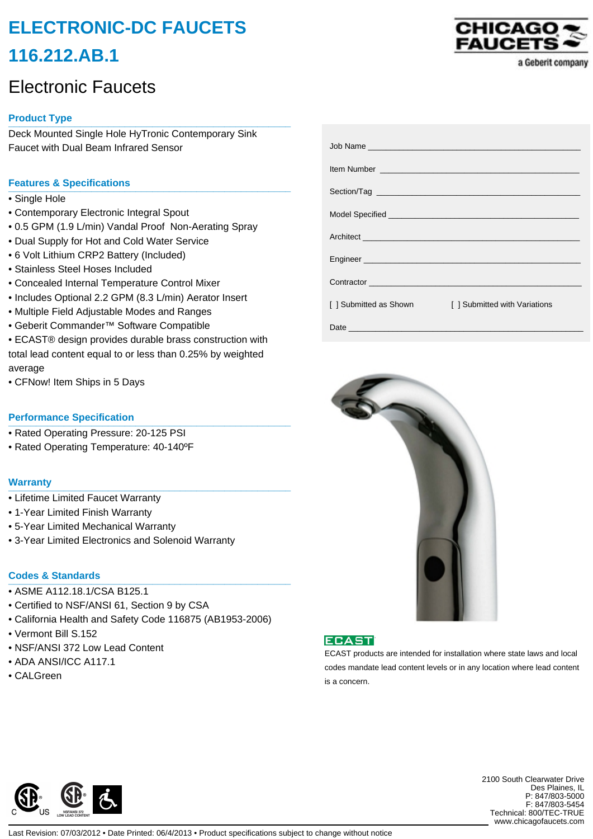# **ELECTRONIC-DC FAUCETS 116.212.AB.1**

## Electronic Faucets

## **Product Type \_\_\_\_\_\_\_\_\_\_\_\_\_\_\_\_\_\_\_\_\_\_\_\_\_\_\_\_\_\_\_\_\_\_\_\_\_\_\_\_\_\_\_\_\_\_\_\_\_\_\_**

Deck Mounted Single Hole HyTronic Contemporary Sink Faucet with Dual Beam Infrared Sensor

### **Features & Specifications \_\_\_\_\_\_\_\_\_\_\_\_\_\_\_\_\_\_\_\_\_\_\_\_\_\_\_\_\_\_\_\_\_\_\_\_\_\_\_\_\_\_\_\_\_\_\_\_\_\_\_**

- Single Hole
- Contemporary Electronic Integral Spout
- 0.5 GPM (1.9 L/min) Vandal Proof Non-Aerating Spray
- Dual Supply for Hot and Cold Water Service
- 6 Volt Lithium CRP2 Battery (Included)
- Stainless Steel Hoses Included
- Concealed Internal Temperature Control Mixer
- Includes Optional 2.2 GPM (8.3 L/min) Aerator Insert
- Multiple Field Adjustable Modes and Ranges
- Geberit Commander™ Software Compatible
- ECAST® design provides durable brass construction with total lead content equal to or less than 0.25% by weighted average
- CFNow! Item Ships in 5 Days

#### **Performance Specification**

- Rated Operating Pressure: 20-125 PSI
- Rated Operating Temperature: 40-140ºF

#### **Warranty \_\_\_\_\_\_\_\_\_\_\_\_\_\_\_\_\_\_\_\_\_\_\_\_\_\_\_\_\_\_\_\_\_\_\_\_\_\_\_\_\_\_\_\_\_\_\_\_\_\_\_**

- Lifetime Limited Faucet Warranty
- 1-Year Limited Finish Warranty
- 5-Year Limited Mechanical Warranty
- 3-Year Limited Electronics and Solenoid Warranty

## **Codes & Standards \_\_\_\_\_\_\_\_\_\_\_\_\_\_\_\_\_\_\_\_\_\_\_\_\_\_\_\_\_\_\_\_\_\_\_\_\_\_\_\_\_\_\_\_\_\_\_\_\_\_\_**

- ASME A112.18.1/CSA B125.1
- Certified to NSF/ANSI 61, Section 9 by CSA
- California Health and Safety Code 116875 (AB1953-2006)
- Vermont Bill S.152
- NSF/ANSI 372 Low Lead Content
- ADA ANSI/ICC A117.1
- CALGreen

| CHICAGO ~        |  |                   |
|------------------|--|-------------------|
| <b>FAUCETS ~</b> |  |                   |
|                  |  | a Geberit company |

|                        | Architect <u>the community of the community of the community of the community of the community of the community of the community of the community of the community of the community of the community of the community of the com</u> |
|------------------------|--------------------------------------------------------------------------------------------------------------------------------------------------------------------------------------------------------------------------------------|
|                        |                                                                                                                                                                                                                                      |
|                        | Contractor <b>Contractor Contractor Contractor</b>                                                                                                                                                                                   |
| [ ] Submitted as Shown | [ ] Submitted with Variations                                                                                                                                                                                                        |
|                        |                                                                                                                                                                                                                                      |





ECAST products are intended for installation where state laws and local codes mandate lead content levels or in any location where lead content is a concern.



2100 South Clearwater Drive Des Plaines, IL P: 847/803-5000 F: 847/803-5454 Technical: 800/TEC-TRUE www.chicagofaucets.com